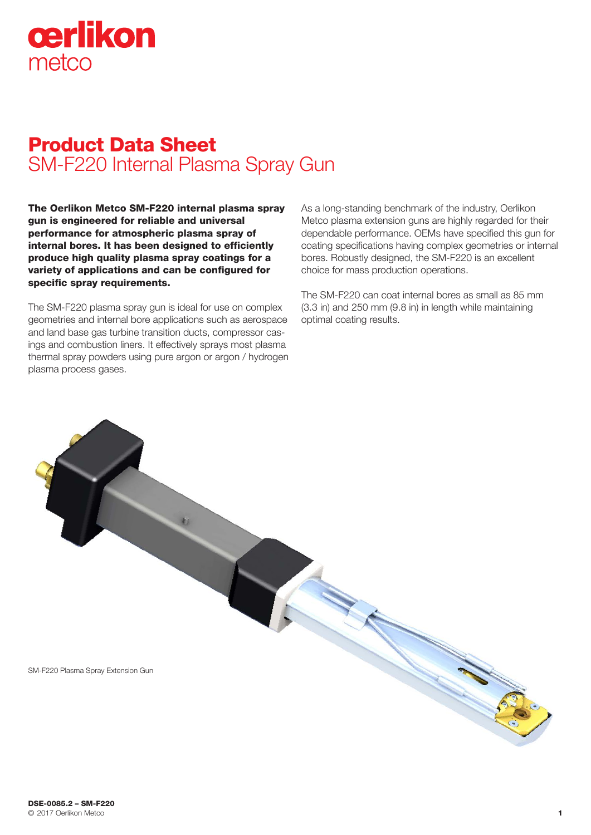

# Product Data Sheet SM-F220 Internal Plasma Spray Gun

The Oerlikon Metco SM-F220 internal plasma spray gun is engineered for reliable and universal performance for atmospheric plasma spray of internal bores. It has been designed to efficiently produce high quality plasma spray coatings for a variety of applications and can be configured for specific spray requirements.

The SM-F220 plasma spray gun is ideal for use on complex geometries and internal bore applications such as aerospace and land base gas turbine transition ducts, compressor casings and combustion liners. It effectively sprays most plasma thermal spray powders using pure argon or argon / hydrogen plasma process gases.

As a long-standing benchmark of the industry, Oerlikon Metco plasma extension guns are highly regarded for their dependable performance. OEMs have specified this gun for coating specifications having complex geometries or internal bores. Robustly designed, the SM-F220 is an excellent choice for mass production operations.

The SM-F220 can coat internal bores as small as 85 mm (3.3 in) and 250 mm (9.8 in) in length while maintaining optimal coating results.

SM-F220 Plasma Spray Extension Gun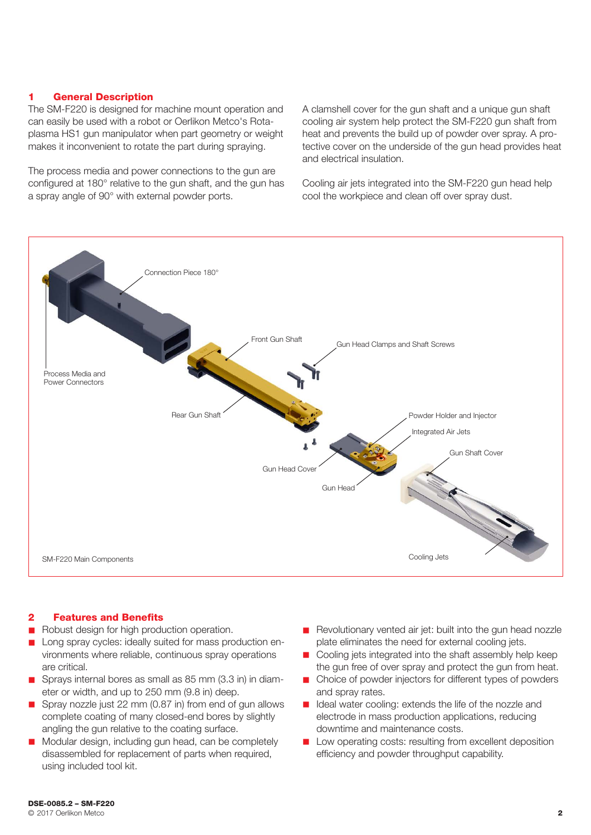#### 1 General Description

The SM-F220 is designed for machine mount operation and can easily be used with a robot or Oerlikon Metco's Rotaplasma HS1 gun manipulator when part geometry or weight makes it inconvenient to rotate the part during spraying.

The process media and power connections to the gun are configured at 180° relative to the gun shaft, and the gun has a spray angle of 90° with external powder ports.

A clamshell cover for the gun shaft and a unique gun shaft cooling air system help protect the SM-F220 gun shaft from heat and prevents the build up of powder over spray. A protective cover on the underside of the gun head provides heat and electrical insulation.

Cooling air jets integrated into the SM-F220 gun head help cool the workpiece and clean off over spray dust.



#### 2 Features and Benefits

- Robust design for high production operation.
- Long spray cycles: ideally suited for mass production environments where reliable, continuous spray operations are critical.
- Sprays internal bores as small as 85 mm (3.3 in) in diameter or width, and up to 250 mm (9.8 in) deep.
- Spray nozzle just 22 mm  $(0.87)$  in) from end of gun allows complete coating of many closed-end bores by slightly angling the gun relative to the coating surface.
- Modular design, including gun head, can be completely disassembled for replacement of parts when required, using included tool kit.
- **n** Revolutionary vented air jet: built into the gun head nozzle plate eliminates the need for external cooling jets.
- $\Box$  Cooling jets integrated into the shaft assembly help keep the gun free of over spray and protect the gun from heat.
- Choice of powder injectors for different types of powders and spray rates.
- Ideal water cooling: extends the life of the nozzle and electrode in mass production applications, reducing downtime and maintenance costs.
- **n** Low operating costs: resulting from excellent deposition efficiency and powder throughput capability.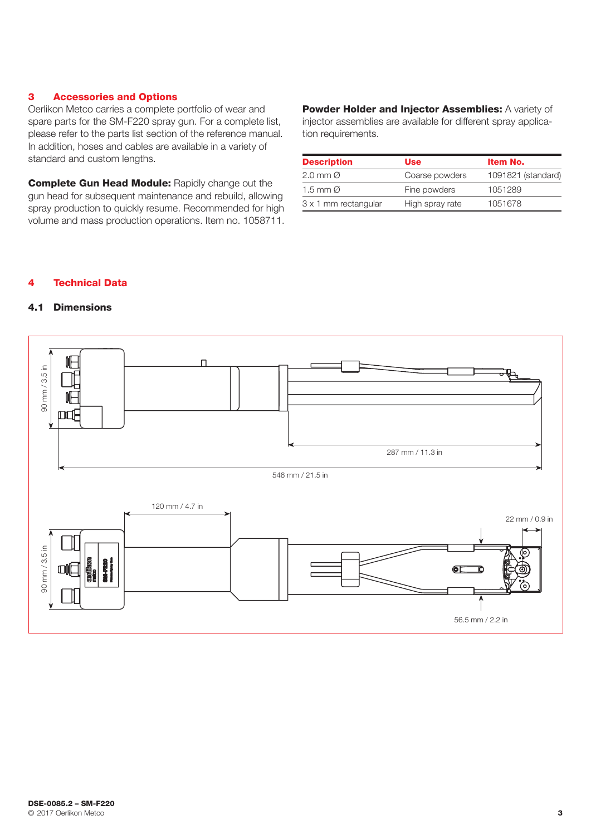#### 3 Accessories and Options

Oerlikon Metco carries a complete portfolio of wear and spare parts for the SM-F220 spray gun. For a complete list, please refer to the parts list section of the reference manual. In addition, hoses and cables are available in a variety of standard and custom lengths.

**Complete Gun Head Module: Rapidly change out the** gun head for subsequent maintenance and rebuild, allowing spray production to quickly resume. Recommended for high volume and mass production operations. Item no. 1058711. Powder Holder and Injector Assemblies: A variety of injector assemblies are available for different spray application requirements.

| <b>Description</b>     | Use             | Item No.           |
|------------------------|-----------------|--------------------|
| $2.0$ mm $\varnothing$ | Coarse powders  | 1091821 (standard) |
| 1.5 mm $\varnothing$   | Fine powders    | 1051289            |
| 3 x 1 mm rectangular   | High spray rate | 1051678            |

## 4 Technical Data

## 4.1 Dimensions